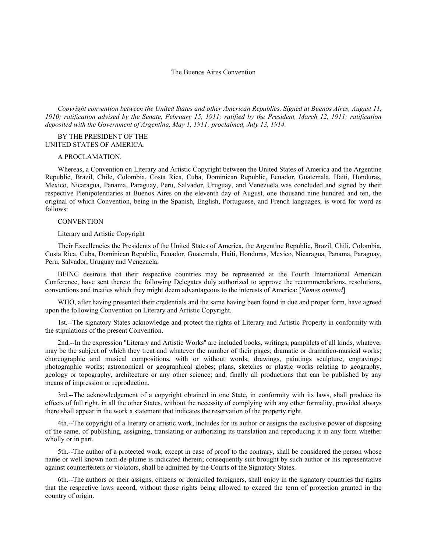# The Buenos Aires Convention

*Copyright convention between the United States and other American Republics. Signed at Buenos Aires, August 11, 1910; ratification advised by the Senate, February 15, 1911; ratified by the President, March 12, 1911; ratification deposited with the Government of Argentina, May 1, 1911; proclaimed, July 13, 1914.*

# BY THE PRESIDENT OF THE UNITED STATES OF AMERICA.

# A PROCLAMATION.

Whereas, a Convention on Literary and Artistic Copyright between the United States of America and the Argentine Republic, Brazil, Chile, Colombia, Costa Rica, Cuba, Dominican Republic, Ecuador, Guatemala, Haiti, Honduras, Mexico, Nicaragua, Panama, Paraguay, Peru, Salvador, Uruguay, and Venezuela was concluded and signed by their respective Plenipotentiaries at Buenos Aires on the eleventh day of August, one thousand nine hundred and ten, the original of which Convention, being in the Spanish, English, Portuguese, and French languages, is word for word as follows:

#### **CONVENTION**

### Literary and Artistic Copyright

Their Excellencies the Presidents of the United States of America, the Argentine Republic, Brazil, Chili, Colombia, Costa Rica, Cuba, Dominican Republic, Ecuador, Guatemala, Haiti, Honduras, Mexico, Nicaragua, Panama, Paraguay, Peru, Salvador, Uruguay and Venezuela;

BEING desirous that their respective countries may be represented at the Fourth International American Conference, have sent thereto the following Delegates duly authorized to approve the recommendations, resolutions, conventions and treaties which they might deem advantageous to the interests of America: [*Names omitted*]

WHO, after having presented their credentials and the same having been found in due and proper form, have agreed upon the following Convention on Literary and Artistic Copyright.

1st.--The signatory States acknowledge and protect the rights of Literary and Artistic Property in conformity with the stipulations of the present Convention.

2nd.--In the expression ''Literary and Artistic Works'' are included books, writings, pamphlets of all kinds, whatever may be the subject of which they treat and whatever the number of their pages; dramatic or dramatico-musical works; choreographic and musical compositions, with or without words; drawings, paintings sculpture, engravings; photographic works; astronomical or geographical globes; plans, sketches or plastic works relating to geography, geology or topography, architecture or any other science; and, finally all productions that can be published by any means of impression or reproduction.

3rd.--The acknowledgement of a copyright obtained in one State, in conformity with its laws, shall produce its effects of full right, in all the other States, without the necessity of complying with any other formality, provided always there shall appear in the work a statement that indicates the reservation of the property right.

4th.--The copyright of a literary or artistic work, includes for its author or assigns the exclusive power of disposing of the same, of publishing, assigning, translating or authorizing its translation and reproducing it in any form whether wholly or in part.

5th.--The author of a protected work, except in case of proof to the contrary, shall be considered the person whose name or well known nom-de-plume is indicated therein; consequently suit brought by such author or his representative against counterfeiters or violators, shall be admitted by the Courts of the Signatory States.

6th.--The authors or their assigns, citizens or domiciled foreigners, shall enjoy in the signatory countries the rights that the respective laws accord, without those rights being allowed to exceed the term of protection granted in the country of origin.